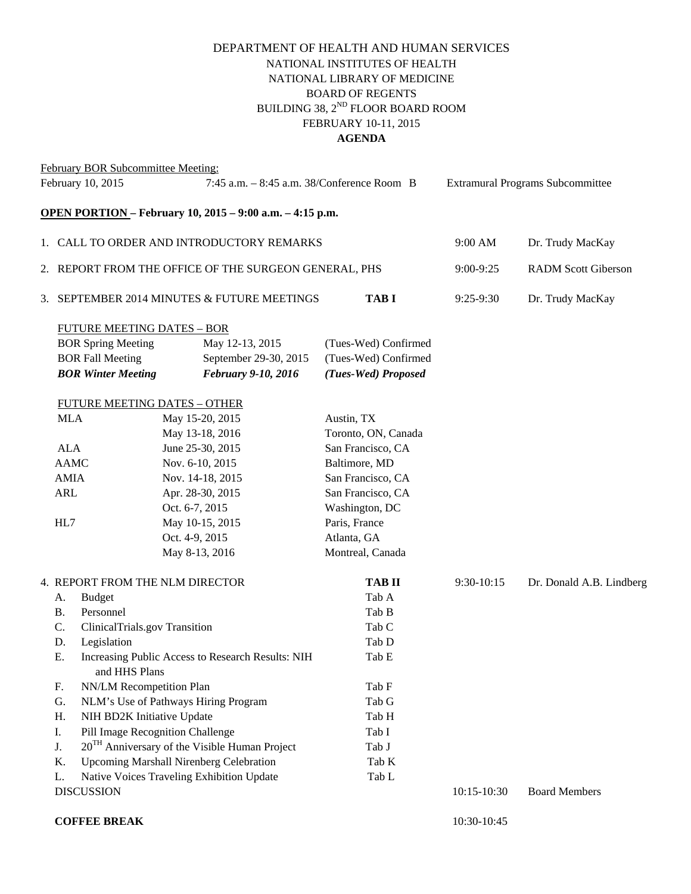## DEPARTMENT OF HEALTH AND HUMAN SERVICES NATIONAL INSTITUTES OF HEALTH NATIONAL LIBRARY OF MEDICINE BOARD OF REGENTS BUILDING 38,  $2^{ND}$  FLOOR BOARD ROOM FEBRUARY 10-11, 2015 **AGENDA**

### February BOR Subcommittee Meeting:

| February 10, 2015 |                                                                          | 7:45 a.m. - 8:45 a.m. 38/Conference Room B      |                | <b>Extramural Programs Subcommittee</b>        |                      |                            |                          |
|-------------------|--------------------------------------------------------------------------|-------------------------------------------------|----------------|------------------------------------------------|----------------------|----------------------------|--------------------------|
|                   | <b>OPEN PORTION</b> - February 10, 2015 - 9:00 a.m. - 4:15 p.m.          |                                                 |                |                                                |                      |                            |                          |
|                   | 1. CALL TO ORDER AND INTRODUCTORY REMARKS                                |                                                 |                |                                                | 9:00 AM              | Dr. Trudy MacKay           |                          |
|                   | 2. REPORT FROM THE OFFICE OF THE SURGEON GENERAL, PHS                    |                                                 |                |                                                | 9:00-9:25            | <b>RADM Scott Giberson</b> |                          |
|                   | 3. SEPTEMBER 2014 MINUTES & FUTURE MEETINGS                              |                                                 | <b>TABI</b>    | $9:25-9:30$                                    | Dr. Trudy MacKay     |                            |                          |
|                   | <b>FUTURE MEETING DATES - BOR</b>                                        |                                                 |                |                                                |                      |                            |                          |
|                   |                                                                          | <b>BOR Spring Meeting</b>                       |                | May 12-13, 2015                                | (Tues-Wed) Confirmed |                            |                          |
|                   |                                                                          | <b>BOR Fall Meeting</b>                         |                | September 29-30, 2015                          | (Tues-Wed) Confirmed |                            |                          |
|                   |                                                                          | <b>BOR Winter Meeting</b>                       |                | February 9-10, 2016                            | (Tues-Wed) Proposed  |                            |                          |
|                   |                                                                          | <b>FUTURE MEETING DATES - OTHER</b>             |                |                                                |                      |                            |                          |
|                   | <b>MLA</b>                                                               | May 15-20, 2015                                 |                |                                                | Austin, TX           |                            |                          |
|                   |                                                                          |                                                 |                | May 13-18, 2016                                | Toronto, ON, Canada  |                            |                          |
| <b>ALA</b>        |                                                                          | June 25-30, 2015                                |                |                                                | San Francisco, CA    |                            |                          |
|                   |                                                                          | <b>AAMC</b>                                     |                | Nov. 6-10, 2015                                | Baltimore, MD        |                            |                          |
|                   | <b>AMIA</b>                                                              | Nov. 14-18, 2015                                |                |                                                | San Francisco, CA    |                            |                          |
|                   | ARL                                                                      |                                                 |                | Apr. 28-30, 2015                               | San Francisco, CA    |                            |                          |
| HL7               |                                                                          | Oct. 6-7, 2015<br>May 10-15, 2015               |                |                                                | Washington, DC       |                            |                          |
|                   |                                                                          |                                                 |                |                                                | Paris, France        |                            |                          |
|                   |                                                                          |                                                 | Oct. 4-9, 2015 |                                                | Atlanta, GA          |                            |                          |
|                   |                                                                          |                                                 |                | May 8-13, 2016                                 | Montreal, Canada     |                            |                          |
|                   | 4. REPORT FROM THE NLM DIRECTOR                                          |                                                 |                |                                                | <b>TAB II</b>        | 9:30-10:15                 | Dr. Donald A.B. Lindberg |
|                   | A.                                                                       | <b>Budget</b>                                   |                |                                                | Tab A                |                            |                          |
|                   | <b>B.</b>                                                                | Personnel                                       |                |                                                | Tab B                |                            |                          |
| C.                |                                                                          | ClinicalTrials.gov Transition                   |                |                                                | Tab C                |                            |                          |
|                   | D.                                                                       | Legislation                                     |                |                                                | Tab D                |                            |                          |
|                   | Ε.<br>Increasing Public Access to Research Results: NIH<br>and HHS Plans |                                                 | Tab E          |                                                |                      |                            |                          |
|                   | F.                                                                       | NN/LM Recompetition Plan                        |                |                                                | Tab F                |                            |                          |
| G.<br>Η.          |                                                                          | NLM's Use of Pathways Hiring Program            |                |                                                | Tab G                |                            |                          |
|                   |                                                                          | NIH BD2K Initiative Update                      |                |                                                | Tab H                |                            |                          |
|                   | Ι.                                                                       | Pill Image Recognition Challenge                |                |                                                | Tab I                |                            |                          |
|                   | J.                                                                       | $20TH$ Anniversary of the Visible Human Project |                |                                                | Tab J                |                            |                          |
|                   | K.                                                                       |                                                 |                | <b>Upcoming Marshall Nirenberg Celebration</b> | Tab K                |                            |                          |
|                   | L.                                                                       | Native Voices Traveling Exhibition Update       |                |                                                | Tab L                |                            |                          |
| <b>DISCUSSION</b> |                                                                          |                                                 |                |                                                |                      | 10:15-10:30                | <b>Board Members</b>     |
|                   |                                                                          |                                                 |                |                                                |                      |                            |                          |

**COFFEE BREAK** 10:30-10:45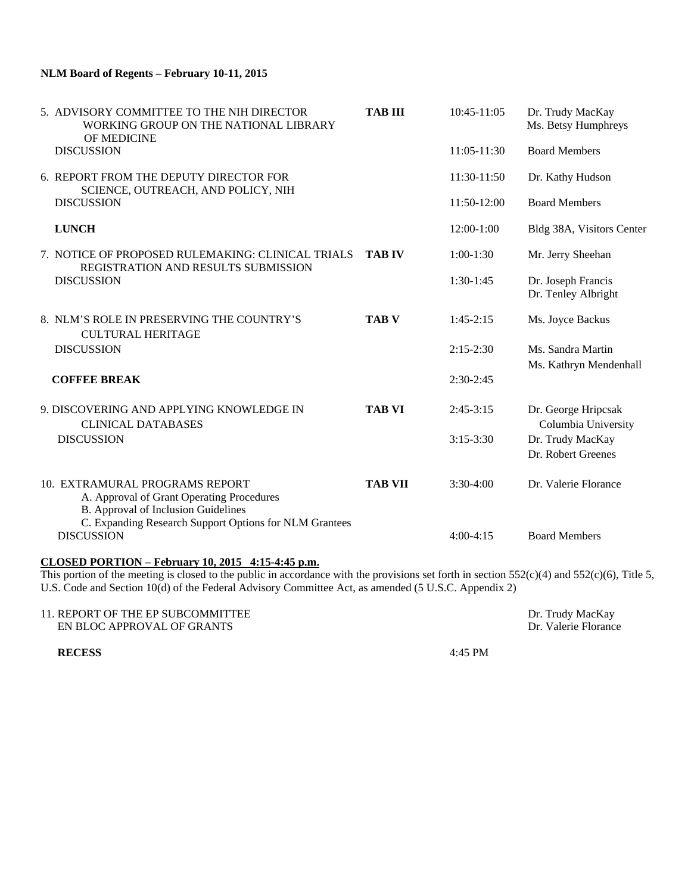#### **NLM Board of Regents – February 10-11, 2015**

|  | 5. ADVISORY COMMITTEE TO THE NIH DIRECTOR<br>WORKING GROUP ON THE NATIONAL LIBRARY<br>OF MEDICINE                                                                            | <b>TAB III</b> | 10:45-11:05   | Dr. Trudy MacKay<br>Ms. Betsy Humphreys     |
|--|------------------------------------------------------------------------------------------------------------------------------------------------------------------------------|----------------|---------------|---------------------------------------------|
|  | <b>DISCUSSION</b>                                                                                                                                                            |                | 11:05-11:30   | <b>Board Members</b>                        |
|  | 6. REPORT FROM THE DEPUTY DIRECTOR FOR<br>SCIENCE, OUTREACH, AND POLICY, NIH                                                                                                 |                | 11:30-11:50   | Dr. Kathy Hudson                            |
|  | <b>DISCUSSION</b>                                                                                                                                                            |                | 11:50-12:00   | <b>Board Members</b>                        |
|  | <b>LUNCH</b>                                                                                                                                                                 |                | $12:00-1:00$  | Bldg 38A, Visitors Center                   |
|  | 7. NOTICE OF PROPOSED RULEMAKING: CLINICAL TRIALS                                                                                                                            | <b>TAB IV</b>  | $1:00-1:30$   | Mr. Jerry Sheehan                           |
|  | REGISTRATION AND RESULTS SUBMISSION<br><b>DISCUSSION</b>                                                                                                                     |                | $1:30-1:45$   | Dr. Joseph Francis<br>Dr. Tenley Albright   |
|  | 8. NLM'S ROLE IN PRESERVING THE COUNTRY'S<br><b>CULTURAL HERITAGE</b>                                                                                                        | <b>TAB V</b>   | $1:45-2:15$   | Ms. Joyce Backus                            |
|  | <b>DISCUSSION</b>                                                                                                                                                            |                | $2:15-2:30$   | Ms. Sandra Martin<br>Ms. Kathryn Mendenhall |
|  | <b>COFFEE BREAK</b>                                                                                                                                                          |                | $2:30-2:45$   |                                             |
|  | 9. DISCOVERING AND APPLYING KNOWLEDGE IN<br><b>CLINICAL DATABASES</b>                                                                                                        | <b>TAB VI</b>  | $2:45-3:15$   | Dr. George Hripcsak<br>Columbia University  |
|  | <b>DISCUSSION</b>                                                                                                                                                            |                | $3:15 - 3:30$ | Dr. Trudy MacKay<br>Dr. Robert Greenes      |
|  | 10. EXTRAMURAL PROGRAMS REPORT<br>A. Approval of Grant Operating Procedures<br>B. Approval of Inclusion Guidelines<br>C. Expanding Research Support Options for NLM Grantees | <b>TAB VII</b> | $3:30-4:00$   | Dr. Valerie Florance                        |
|  | <b>DISCUSSION</b>                                                                                                                                                            |                | $4:00-4:15$   | <b>Board Members</b>                        |

### **CLOSED PORTION – February 10, 2015 4:15-4:45 p.m.**

This portion of the meeting is closed to the public in accordance with the provisions set forth in section  $552(c)(4)$  and  $552(c)(6)$ , Title 5, U.S. Code and Section 10(d) of the Federal Advisory Committee Act, as amended (5 U.S.C. Appendix 2)

| 11. REPORT OF THE EP SUBCOMMITTEE | Dr. Trudy MacKay     |
|-----------------------------------|----------------------|
| EN BLOC APPROVAL OF GRANTS        | Dr. Valerie Florance |
|                                   |                      |

**RECESS** 4:45 PM